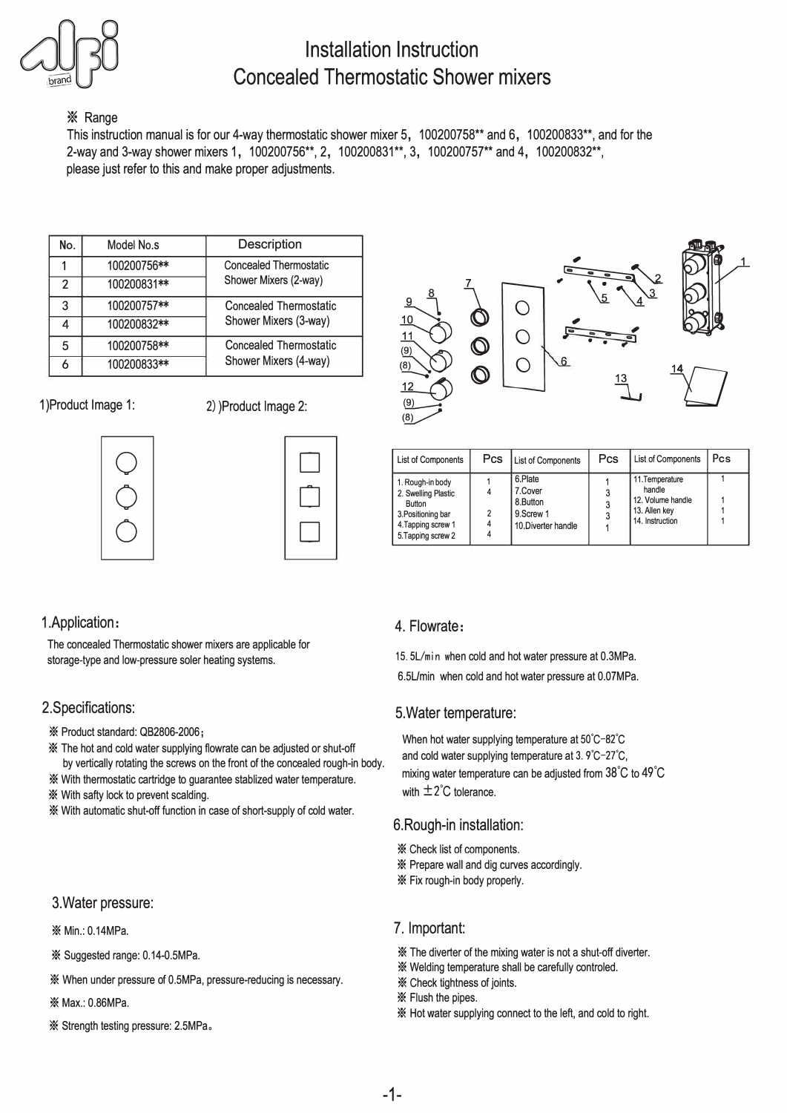

# **Installation Instruction Concealed Thermostatic Shower mixers**

### **X** Range

This instruction manual is for our 4-way thermostatic shower mixer 5, 100200758\*\* and 6, 100200833\*\*, and for the 2-way and 3-way shower mixers 1, 100200756\*\*, 2, 100200831\*\*, 3, 100200757\*\* and 4, 100200832\*\*, please just refer to this and make proper adjustments.

| No. | Model No.s  | Description                                            |  |  |
|-----|-------------|--------------------------------------------------------|--|--|
|     | 100200756** | <b>Concealed Thermostatic</b><br>Shower Mixers (2-way) |  |  |
| 2   | 100200831** |                                                        |  |  |
| 3   | 100200757** | Concealed Thermostatic<br>Shower Mixers (3-way)        |  |  |
| 4   | 100200832** |                                                        |  |  |
| 5   | 100200758** | Concealed Thermostatic<br>Shower Mixers (4-way)        |  |  |
|     | 100200833** |                                                        |  |  |

1 )Product Image 1: 2) )Product Image 2:







| <b>List of Components</b>                                                                                                  | <b>Pcs</b> | List of Components                                                 | Pcs | List of Components                                                                 | Pcs |
|----------------------------------------------------------------------------------------------------------------------------|------------|--------------------------------------------------------------------|-----|------------------------------------------------------------------------------------|-----|
| 1. Rough-in body<br>2. Swelling Plastic<br><b>Button</b><br>3. Positioning bar<br>4. Tapping screw 1<br>5. Tapping screw 2 | 2<br>4     | 6.Plate<br>7.Cover<br>8.Button<br>9.Screw 1<br>10. Diverter handle |     | 11. Temperature<br>handle<br>12. Volume handle<br>13. Allen key<br>14. Instruction |     |

# 1.Application:

The concealed Thermostatic shower mixers are applicable for storage-type and low-pressure soler heating systems.

# 2.Specifications:

\* Product standard: QB2806-2006;

- \* The hot and cold water supplying flowrate can be adjusted or shut-off by vertically rotating the screws on the front of the concealed rough-in body.
- \* With thermostatic cartridge to guarantee stablized water temperature.
- \* With safty lock to prevent scalding.

\* With automatic shut-off function in case of short-supply of cold water.

#### 3.Water pressure:

- \* Min.: 0.14MPa.
- \* Suggested range: 0.14-0.5MPa.
- \* When under pressure of 0.5MPa, pressure-reducing is necessary.
- \* Max.: 0.86MPa.
- \* Strength testing pressure: 2.5MPa,

#### 4. Flowrate:

15. SL/min when cold and hot water pressure at 0.3MPa.

6.5Umin when cold and hot water pressure at 0.07MPa.

## 5.Water temperature:

When hot water supplying temperature at 50°C-82°C and cold water supplying temperature at 3. 9'C-27'C, mixing water temperature can be adjusted from 38° C to 49° C with  $\pm 2^{\circ}$ C tolerance.

## 6.Rough-in installation:

\* Check list of components.

- \* Prepare wall and dig curves accordingly.
- \* Fix rough-in body properly.

#### 7. Important:

- \* The diverter of the mixing water is not a shut-off diverter.
- \* Welding temperature shall be carefully controled.
- \* Check lightness of joints.
- \* Flush the pipes.
- \* Hot water supplying connect to the left, and cold to right.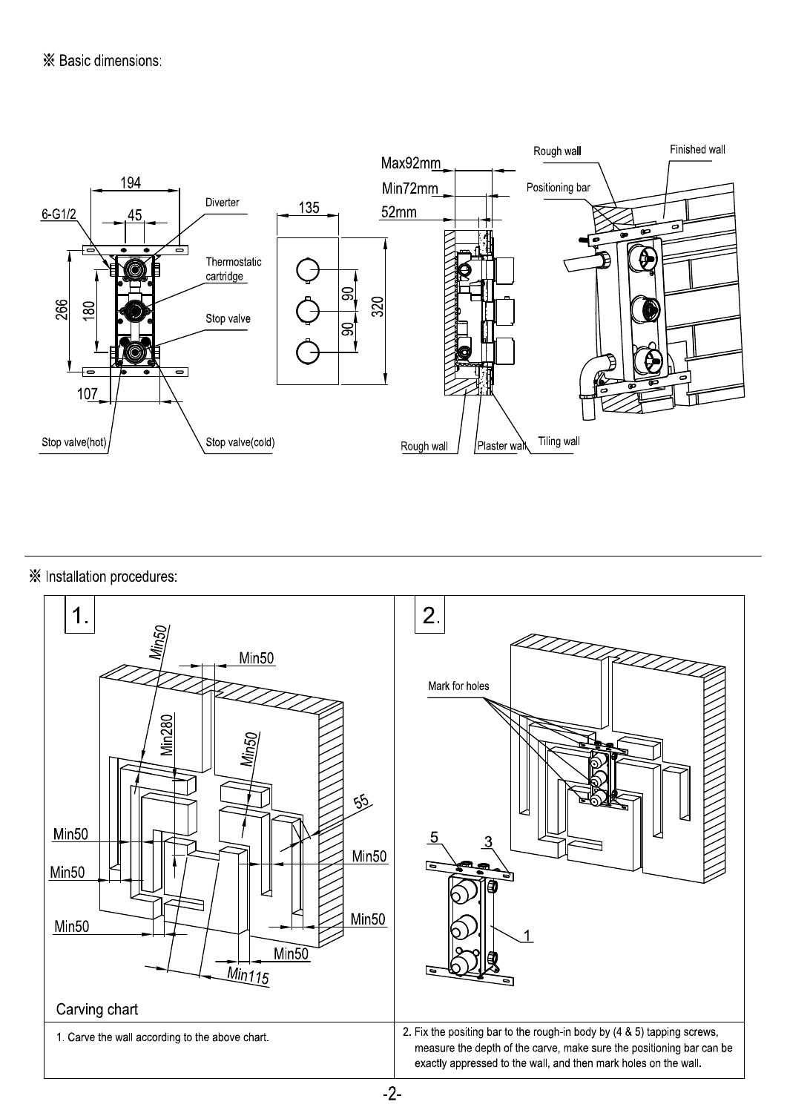

# ※ Installation procedures:



 $-2-$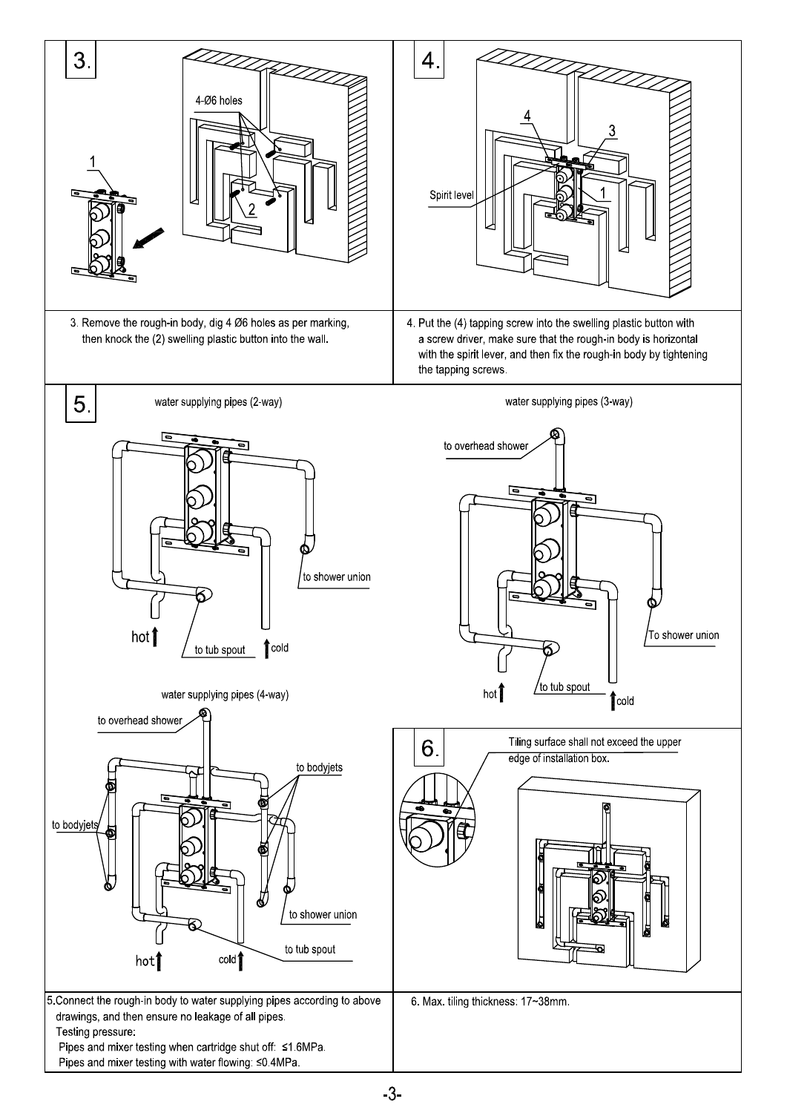

 $-3-$